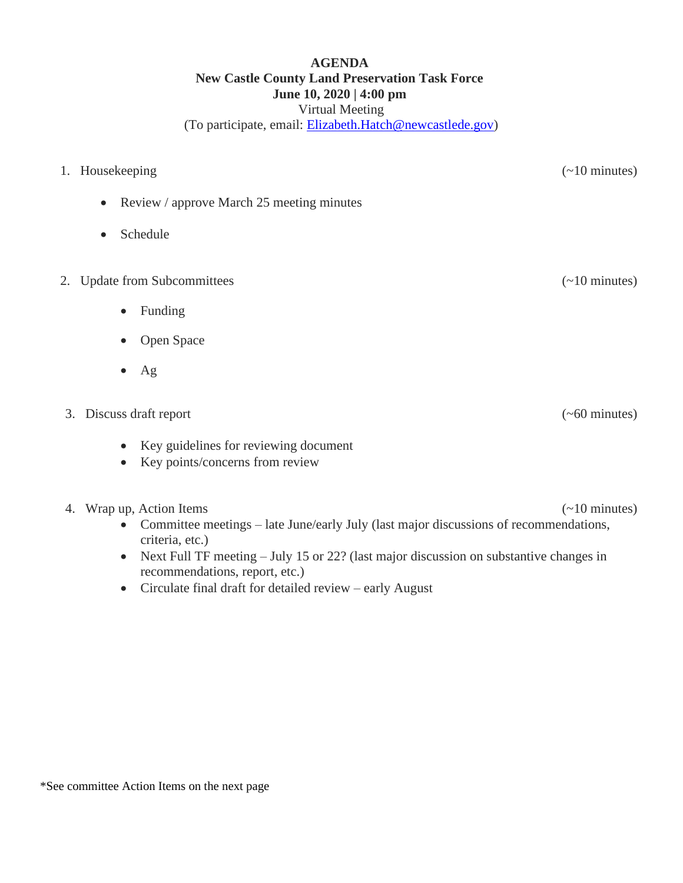### **AGENDA New Castle County Land Preservation Task Force June 10, 2020 | 4:00 pm** Virtual Meeting (To participate, email: [Elizabeth.Hatch@newcastlede.gov\)](mailto:Elizabeth.Hatch@newcastlede.gov)

- 1. Housekeeping (~10 minutes) • Review / approve March 25 meeting minutes • Schedule 2. Update from Subcommittees (~10 minutes) • Funding
	- Open Space
	- Ag

# 3. Discuss draft report (~60 minutes)

- Key guidelines for reviewing document
- Key points/concerns from review

## 4. Wrap up, Action Items (~10 minutes)

- Committee meetings late June/early July (last major discussions of recommendations, criteria, etc.)
- Next Full TF meeting July 15 or 22? (last major discussion on substantive changes in recommendations, report, etc.)
- Circulate final draft for detailed review early August

\*See committee Action Items on the next page